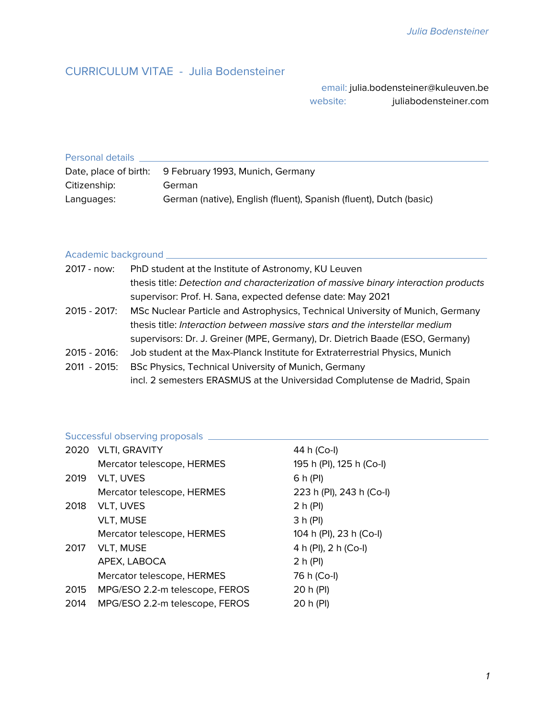#### CURRICULUM VITAE - Julia Bodensteiner

email: julia.bodensteiner@kuleuven.be website: juliabodensteiner.com

| Personal details |                                                                    |  |  |
|------------------|--------------------------------------------------------------------|--|--|
|                  | Date, place of birth: 9 February 1993, Munich, Germany             |  |  |
| Citizenship:     | German                                                             |  |  |
| Languages:       | German (native), English (fluent), Spanish (fluent), Dutch (basic) |  |  |

### Academic background

| 2017 - now:  | PhD student at the Institute of Astronomy, KU Leuven                                |
|--------------|-------------------------------------------------------------------------------------|
|              | thesis title: Detection and characterization of massive binary interaction products |
|              | supervisor: Prof. H. Sana, expected defense date: May 2021                          |
| 2015 - 2017: | MSc Nuclear Particle and Astrophysics, Technical University of Munich, Germany      |
|              | thesis title: Interaction between massive stars and the interstellar medium         |
|              | supervisors: Dr. J. Greiner (MPE, Germany), Dr. Dietrich Baade (ESO, Germany)       |
| 2015 - 2016: | Job student at the Max-Planck Institute for Extraterrestrial Physics, Munich        |
| 2011 - 2015: | BSc Physics, Technical University of Munich, Germany                                |
|              | incl. 2 semesters ERASMUS at the Universidad Complutense de Madrid, Spain           |

# Successful observing proposals

|      | 2020 VLTI, GRAVITY             | 44 h (Co-l)              |
|------|--------------------------------|--------------------------|
|      | Mercator telescope, HERMES     | 195 h (PI), 125 h (Co-I) |
| 2019 | VLT, UVES                      | 6 h (PI)                 |
|      | Mercator telescope, HERMES     | 223 h (PI), 243 h (Co-I) |
| 2018 | VLT, UVES                      | 2 h (PI)                 |
|      | <b>VLT, MUSE</b>               | 3 h (PI)                 |
|      | Mercator telescope, HERMES     | 104 h (PI), 23 h (Co-I)  |
| 2017 | <b>VLT, MUSE</b>               | 4 h (PI), 2 h (Co-I)     |
|      | APEX, LABOCA                   | 2 h (PI)                 |
|      | Mercator telescope, HERMES     | 76 h (Co-l)              |
| 2015 | MPG/ESO 2.2-m telescope, FEROS | 20 h (PI)                |
| 2014 | MPG/ESO 2.2-m telescope, FEROS | 20 h (PI)                |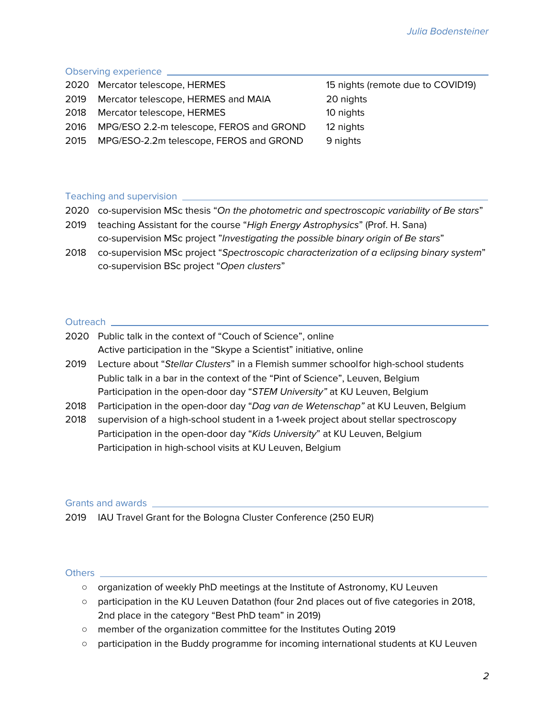### Observing experience

| 2020 Mercator telescope, HERMES               | 15 nights (remote due to COVID19) |
|-----------------------------------------------|-----------------------------------|
| 2019 Mercator telescope, HERMES and MAIA      | 20 nights                         |
| 2018 Mercator telescope, HERMES               | 10 nights                         |
| 2016 MPG/ESO 2.2-m telescope, FEROS and GROND | 12 nights                         |
| 2015 MPG/ESO-2.2m telescope, FEROS and GROND  | 9 nights                          |
|                                               |                                   |

#### Teaching and supervision

|                             | 2020 co-supervision MSc thesis "On the photometric and spectroscopic variability of Be stars" |
|-----------------------------|-----------------------------------------------------------------------------------------------|
| 2019                        | teaching Assistant for the course "High Energy Astrophysics" (Prof. H. Sana)                  |
|                             | co-supervision MSc project "Investigating the possible binary origin of Be stars"             |
| $\mathcal{L}_{\mathcal{L}}$ |                                                                                               |

2018 co-supervision MSc project "Spectroscopic characterization of a eclipsing binary system" co-supervision BSc project "Open clusters"

#### Outreach <u>example</u>

| 2020 Public talk in the context of "Couch of Science", online      |  |
|--------------------------------------------------------------------|--|
| Active participation in the "Skype a Scientist" initiative, online |  |

- 2019 Lecture about "Stellar Clusters" in a Flemish summer schoolfor high-school students Public talk in a bar in the context of the "Pint of Science", Leuven, Belgium Participation in the open-door day "STEM University" at KU Leuven, Belgium
- 2018 Participation in the open-door day "Dag van de Wetenschap" at KU Leuven, Belgium
- 2018 supervision of a high-school student in a 1-week project about stellar spectroscopy Participation in the open-door day "Kids University" at KU Leuven, Belgium Participation in high-school visits at KU Leuven, Belgium

## Grants and awards

2019 IAU Travel Grant for the Bologna Cluster Conference (250 EUR)

#### Others

- organization of weekly PhD meetings at the Institute of Astronomy, KU Leuven
- participation in the KU Leuven Datathon (four 2nd places out of five categories in 2018, 2nd place in the category "Best PhD team" in 2019)
- member of the organization committee for the Institutes Outing 2019
- participation in the Buddy programme for incoming international students at KU Leuven